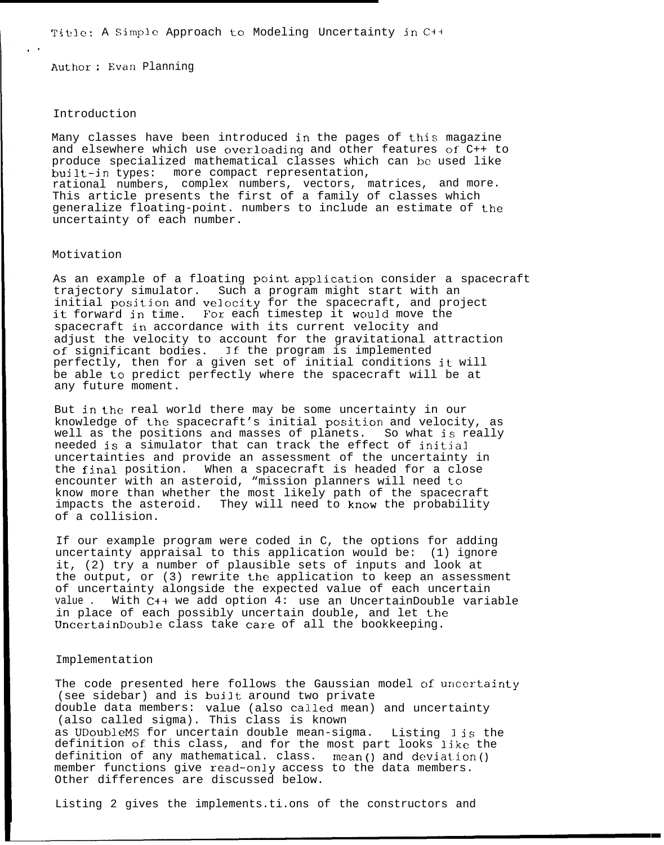Titilc: A Simple Approach to Modeling Uncertainty in C++

Author : Evan Planning

#### Introduction

,.

Many classes have been introduced in the pages of this magazine and elsewhere which use overloading and other features of  $C++$  to produce specialized mathematical classes which can be used like built–in types: more compact representation, rational numbers, complex numbers, vectors, matrices, and more. This article presents the first of a family of classes which generalize floating-point. numbers to include an estimate of the uncertainty of each number.

# Motivation

As an example of a floating point application consider a spacecraft trajectory simulator. Such a program might start with an initial position and velocity for the spacecraft, and project it forward in time. For each timestep it would move the spacecraft in accordance with its current velocity and adjust the velocity to account for the gravitational attraction of significant bodies. If the program is implemented perfectly, then for a given set of initial conditions it will be able to predict perfectly where the spacecraft will be at any future moment.

But in the real world there may be some uncertainty in our knowledge of the spacecraft's initial position and velocity, as well as the positions and masses of planets. So what is really needed is a simulator that can track the effect of initial uncertainties and provide an assessment of the uncertainty in the final position. When a spacecraft is headed for a close encounter with an asteroid, "mission planners will need to know more than whether the most likely path of the spacecraft impacts the asteroid. They will need to know the probability of a collision.

If our example program were coded in C, the options for adding uncertainty appraisal to this application would be: (1) ignore it, (2) try a number of plausible sets of inputs and look at the output, or (3) rewrite the application to keep an assessment of uncertainty alongside the expected value of each uncertain value . With C++ we add option 4: use an UncertainDouble variable in place of each possibly uncertain double, and let the UncertainDouble class take care of all the bookkeeping.

## Implementation

The code presented here follows the Gaussian model of uncertainty (see sidebar) and is built around two private double data members: value (also called mean) and uncertainty (also called sigma). This class is known as UDoubleMS for uncertain double mean-sigma. Listing 1 is the definition of this class, and for the most part looks like the definition of any mathematical. class. mean() and deviation() member functions give read-only access to the data members. Other differences are discussed below.

Listing 2 gives the implements.ti.ons of the constructors and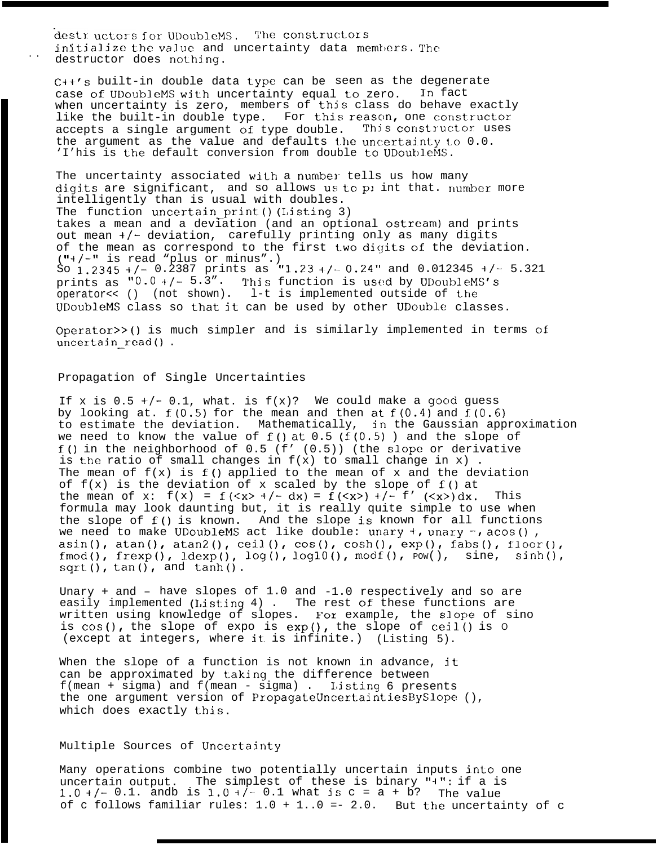destr. uctors for UDoubleMS. The constructors initialize the value and uncertainty data members. The destructor does nothing.

 $C++'s$  built-in double data type can be seen as the degenerate case of UDoubleMS with uncertainty equal to zero. In fact case of UDoubleMS with uncertainty equal to zero. when uncertainty is zero, members of this class do behave exactly like the built-in double type. For this reason, one constructor<br>accepts a single argument of type double. This constructor uses accepts a single argument of type double. the argument as the value and defaults the uncertainty to  $0.0$ . 'I'his is the default conversion from double to UDoubleMS.

The uncertainty associated with a number tells us how many digits are significant, and so allows us to pi int that. number more intelligently than is usual with doubles. The function uncertain print () (Listing 3) takes a mean and a deviation (and an optional ostream) and prints out mean +/- deviation, carefully printing only as many digits of the mean as correspond to the first Lwo digits of the deviation. ("+/-" is read "plus or minus".) So 1.2345 +/- 0.2387 prints as "1.23 +/- 0.24" and 0.012345 +/- 5.321 prints as " $0.0$  +/-  $5.3"$ . This function is used by UDoubleMS's operator<< () (not shown). l-t is implemented outside of Lhe UDoubleMS class so that it can be used by other UDouble classes.

Operator>>() is much simpler and is similarly implemented in terms of uncertain read().

### Propagation of Single Uncertainties

If x is  $0.5 +/- 0.1$ , what. is  $f(x)$ ? We could make a good guess by looking at.  $f(0.5)$  for the mean and then at  $f(0.4)$  and  $f(0.6)$ to estimate the deviation. Mathematically, in the Gaussian approximation we need to know the value of  $f()$  at  $0.5$  ( $f(0.5)$  ) and the slope of f() in the neighborhood of  $0.5$  (f' (0.5)) (the slope or derivative is the ratio of small changes in  $f(x)$  to small change in x). The mean of  $f(x)$  is  $f()$  applied to the mean of x and the deviation of  $f(x)$  is the deviation of x scaled by the slope of  $f()$  at the mean of x:  $f(x) = f(\langle x \rangle + (-dx) = f(\langle x \rangle) + (-f'(\langle x \rangle)dx)$ . This formula may look daunting but, it is really quite simple to use when the slope of  $f()$  is known. And the slope is known for all functions we need to make UDoubleMS act like double: unary  $+$ , unary  $-$ , acos(), asin(), atan(), atan2(), ceil(),  $cos()$ ,  $cosh()$ ,  $exp()$ ,  $fabs()$ ,  $floor()$ , fmod(), frexp(), ldexp(), log(), log10(), modf(),  $\overline{POW()}$ , sine, sinh(),  $sqrt($ , tan(), and tanh().

Unary + and – have slopes of 1.0 and -1.0 respectively and so are easily implemented (Listing 4) . The rest of these functions are written using knowledge of slopes. Fox example, the slope of sino is  $cos()$ , the slope of expo is  $exp()$ , the slope of  $ceil()$  is  $0$ (except at integers, where it. is infinite.) (Listing 5).

When the slope of a function is not known in advance, it can be approximated by taking the difference between f(mean + sigma) and f(mean - sigma) . Listing 6 presents the one argument version of PropagateUncertaintiesBySlope (), which does exactly this.

## Multiple Sources of Uncertainty

Many operations combine two potentially uncertain inputs into one uncertain output. The simplest of these is binary "+": if a is 1.0 +/- 0.1. andb is  $1.0 + (-1.1)$  what is c = a + b? The value of c follows familiar rules:  $1.0 + 1.0 = -2.0$ . But the uncertainty of c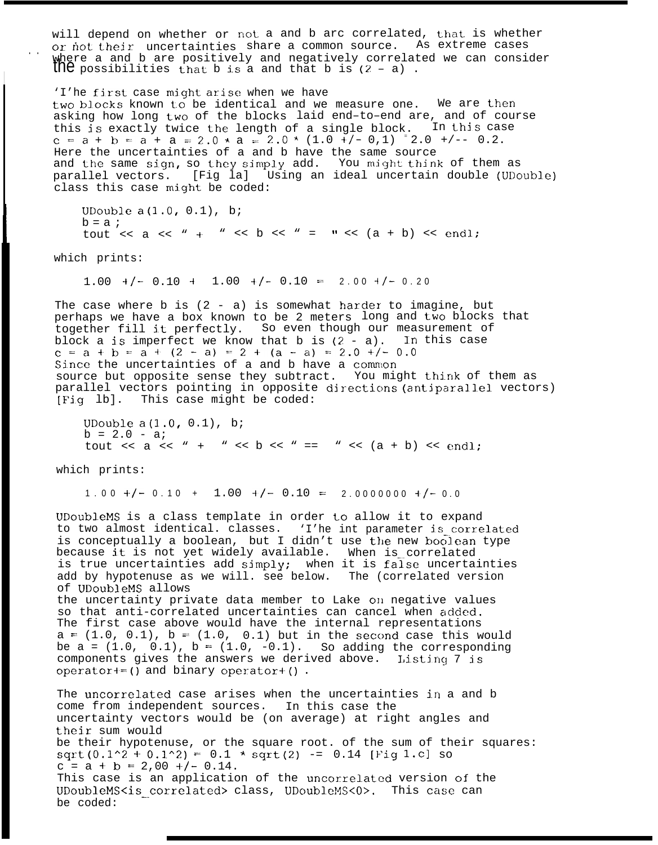will depend on whether or not a and b arc correlated, that is whether<br>or not their uncertainties share a common source. As extreme cases or not their uncertainties share a common source. where a and b are positively and negatively correlated we can consider<br>the possibilities that b is a and that b is (2 - a).

'I'he first case might arise when we have two blocks known to be identical and we measure one. We are then asking how long two of the blocks laid end–to–end are, and of course this is exactly twice the length of a single block. In this case c = a + b = a + a = 2.0 \* a = 2.0 \*  $(1.0 + / - 0.1)$   $(2.0 + / - 0.2)$ . Here the uncertainties of a and b have the same source and the same sign, so they simply add. You might think of them as parallel vectors. [Fig la] Using an ideal uncertain double (UDouble) class this case might be coded:

UDouble  $a(1.0, 0.1)$ , b;  $b = a$  ; tout  $\langle \langle a \rangle \langle a \rangle$  +  $\langle a \rangle \langle b \rangle$   $\langle a \rangle$  =  $\langle a \rangle \langle a \rangle$  + b)  $\langle a \rangle$  endl;

which prints:

I

**I**

 $1.00 +/- 0.10 + 1.00 +/- 0.10 = 2.00 +/- 0.20$ 

The case where  $b$  is (2 - a) is somewhat harder to imagine, but perhaps we have a box known to be 2 meters long and two blocks that together fill it perfectly. So even though our measurement of block a is imperfect we know that b is  $(2 - a)$ . In this case c = a + b = a + (2 - a) = 2 + (a - a) = 2.0 +/- 0.0 Since the uncertainties of a and b have a common source but opposite sense they subtract. You might think of them as parallel vectors pointing in opposite directions (antiparallel vectors) [Fig lb]. This case might be coded:

UDouble  $a(1.0, 0.1)$ , b;  $b = 2.0 - ai$ tout << a << " + " << b << " == " <<  $(a + b)$  << endl;

which prints:

1.00 +/- 0.10 + 1.00 +/- 0.10 = 2.00000000 +/- 0.0

UDoubleMS is a class template in order to allow it to expand to two almost identical. classes. 'I'he int parameter is correlated is conceptually a boolean, but I didn't use the new boolean type because it is not yet widely available. When is correlated is true uncertainties add simply; when it is false uncertainties add by hypotenuse as we will. see below. The (correlated version of UDoubleMS allows

the uncertainty private data member to Lake on negative values so that anti-correlated uncertainties can cancel when added. The first case above would have the internal representations  $a = (1.0, 0.1)$ ,  $b = (1.0, 0.1)$  but in the second case this would be a =  $(1.0, 0.1)$ , b =  $(1.0, -0.1)$ . So adding the corresponding components gives the answers we derived above. Listing  $7$  is operator+=() and binary operator+().

The uncorrelated case arises when the uncertainties in a and b come from independent sources. In this case the uncertainty vectors would be (on average) at right angles and their sum would be their hypotenuse, or the square root. of the sum of their squares:  $sqrt(0.1^2 + 0.1^2) = 0.1 * sqrt(2) - 0.14$  [Fig 1.c] so  $c = a + b = 2,00 +/- 0.14$ . This case is an application of the uncorrelated version of the UDoubleMS<is\_correlated> class, UDoubleMS<O>. This case can be coded: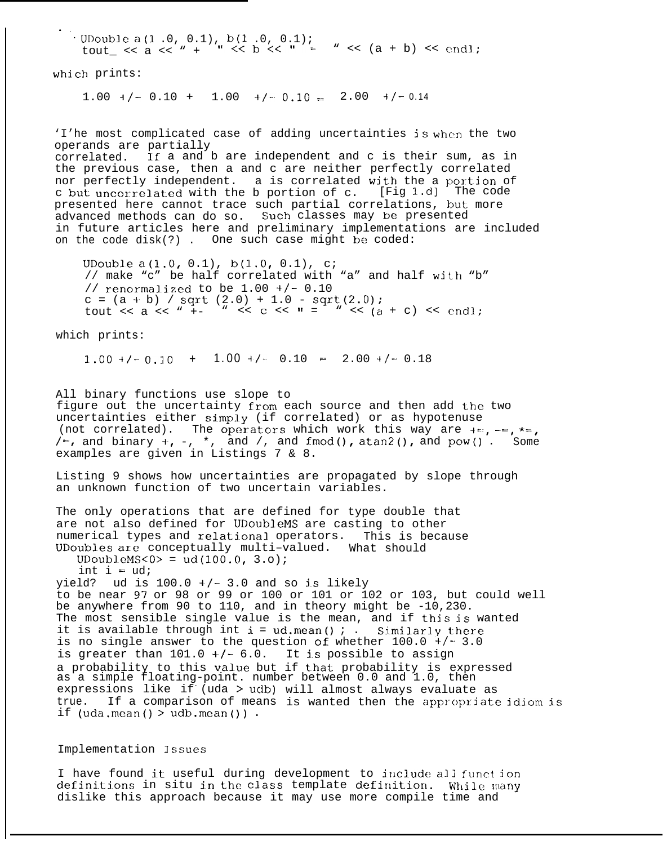., . UDouble a(1 .0, 0.1), b(1 .0, 0.1);<br>
tout\_ << a << " + " << b << " = " << (a + b) << endl;

which prints:

 $1.00 +/- 0.10 + 1.00 +/- 0.10 = 2.00 +/- 0.14$ 

'I'he most complicated case of adding uncertainties is when the two operands are partially correlated. If a and b are independent and c is their sum, as in the previous case, then a and c are neither perfectly correlated nor perfectly independent. a is correlated with the a portion of c but uncorrelat-ed with the b portion of c. [Fig l.d] The code presented here cannot trace such partial correlations, but. more advanced methods can do so. Such classes may be presented in future articles here and preliminary implementations are included on the code disk(?) . One such case might be coded:

UDouble a(l.0, 0.1), b(l.0, 0.1), c; // make "c" be half correlated with "a" and half with "b" // renormalized to be  $1.00 +/- 0.10$  $c = (a + b) / sqrt(2.0) + 1.0 - sqrt(2.0);$ tout << a << " +- " << c << " = " <<  $(a + c)$  << endl;

which prints:

 $1.00 +/- 0.10 + 1.00 +/- 0.10 = 2.00 +/- 0.18$ 

All binary functions use slope to figure out the uncertainty from each source and then add the two uncertainties either simply (if correlated) or as hypotenuse (not correlated). The operators which work this way are +=, -=, \*=,  $/$ =, and binary +, -, \*, and /, and fmod(), atan2(), and pow(). Some examples are given in Listings 7 & 8.

Listing 9 shows how uncertainties are propagated by slope through an unknown function of two uncertain variables.

The only operations that are defined for type double that are not also defined for UDoubleMS are casting to other numerical types and relational operators. This is because UDoubles are conceptually multi–valued. What should

 $UDoubleMS < 0 > = ud(100.0, 3.0);$ 

int  $i = ud$ ;

yield? ud is  $100.0 +/- 3.0$  and so is likely to be near 97 or 98 or 99 or 100 or 101 or 102 or 103, but could well be anywhere from 90 to 110, and in theory might be -10,230. The most sensible single value is the mean, and if this is wanted it is available through int  $i = ud$ . mean() ; . Similarly there is no single answer to the question of whether  $100.0 +/- 3.0$ is greater than  $101.0 +/- 6.0$ . It is possible to assign a probability to this value but if that probability is expressed as a simple floating-point. number between 0.0 and 1.0, then expressions like if (uda > udb) will almost always evaluate as true. If a comparison of means is wanted then the appropriate idiom is if  $(uda.macan() > udb.macan())$ .

Implementation Issues

I have found it useful during development to include all function definitions in situ in the class template definition. While many dislike this approach because it may use more compile time and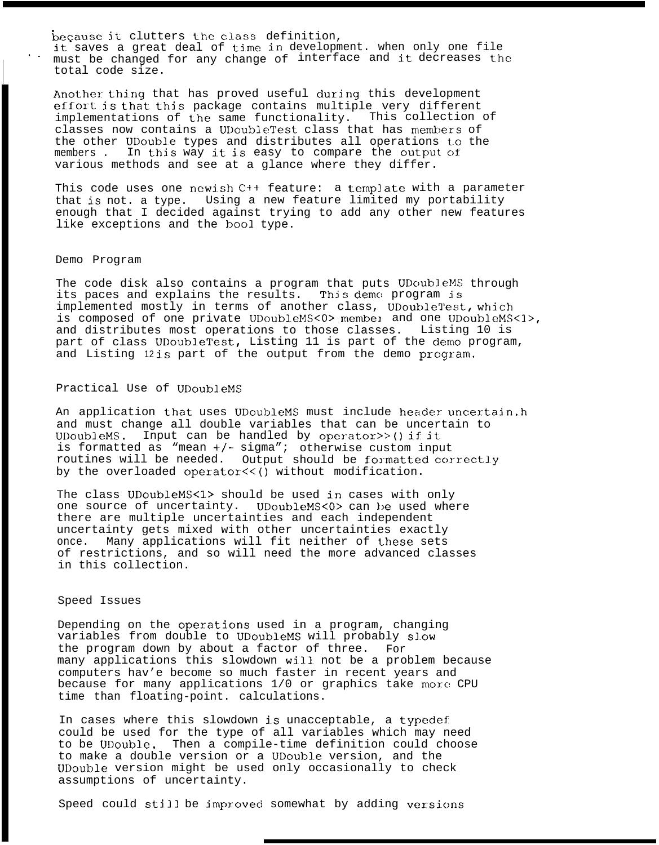because it clutters the class definition, it saves a great deal of time in development. when only one file must be changed for any change of interface and it decreases the total code size.

Another thing that has proved useful during this development effort is that this package contains multiple very different implementations of the same functionality. This collection of classes now contains a UDoubleTest class that has members of the other UDouble types and distributes all operations to the members. In this way it is easy to compare the output of In this way it is easy to compare the output of various methods and see at a glance where they differ.

This code uses one newish C++ feature: a template with a parameter that is not. a type. Using a new feature limited my portability enough that I decided against trying to add any other new features like exceptions and the bool type.

### Demo Program

,.

L.

The code disk also contains a program that puts UDoubleMS through its paces and explains the results. This demo program is implemented mostly in terms of another class, UDoubleTest, which is composed of one private UDoubleMS<0> member and one UDoubleMS<1>, and distributes most operations to those classes. Listing 10 is part of class UDoubleTest, Listing 11 is part of the demo program, and Listing 12is part of the output from the demo program.

## Practical Use of UDoubleMS

An application that uses UDoubleMS must include header uncertain.h and must change all double variables that can be uncertain to UDoubleMS. Input can be handled by operator>>() if it. is formatted as "mean  $+/-$  sigma"; otherwise custom input routines will be needed. Output should be formatted correctly by the overloaded operator<<() without modification.

The class UDoubleMS<1> should be used in cases with only one source of uncertainty. UDoubleMS<0> can be used where there are multiple uncertainties and each independent uncertainty gets mixed with other uncertainties exactly once. Many applications will fit neither of these sets of restrictions, and so will need the more advanced classes in this collection.

## Speed Issues

Depending on the operations used in a program, changing variables from double to UDoubleMS will probably SI.OW the program down by about a factor of three. For many applications this slowdown will not be a problem because computers hav'e become so much faster in recent years and because for many applications 1/0 or graphics take more CPU time than floating-point. calculations.

In cases where this slowdown is unacceptable, a typedef could be used for the type of all variables which may need to be UDouble. Then a compile-time definition could choose to make a double version or a UDouble version, and the UDouble version might be used only occasionally to check assumptions of uncertainty.

Speed could still be improved somewhat by adding versions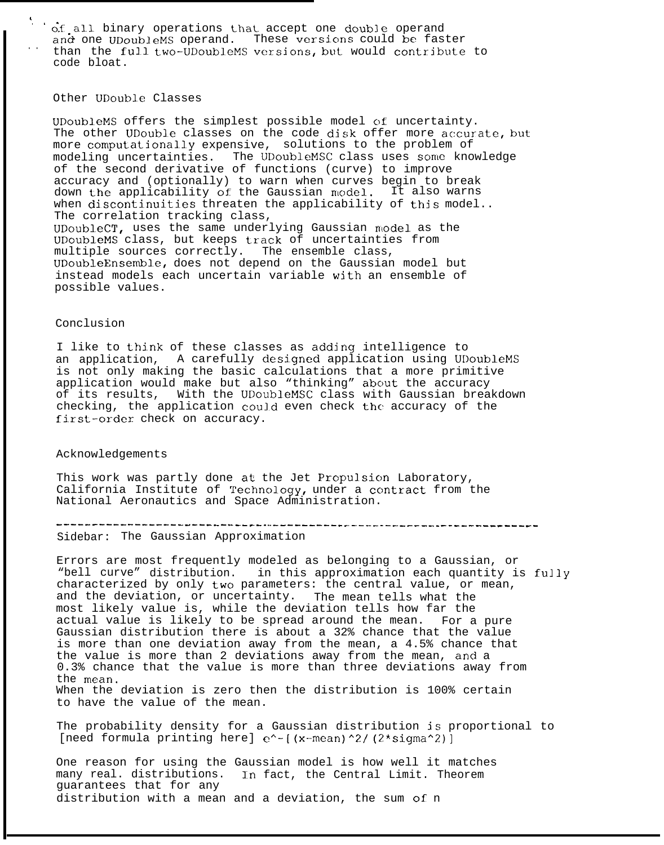o.f.all binary operations that accept one double operand and one UDoubleMS operand. These versions could be faster and one UDoubleMS operand. These versions could be faster<br>than the full two-UDoubleMS versions, but would contribute to code bloat.

### Other UDouble Classes

,

UDoubleMS offers the simplest possible model of uncertainty. The other UDouble classes on the code disk offer more accurate, but more computational.ly expensive, solutions to the problem of modeling uncertainties. The UDoubleMSC class uses some knowledge of the second derivative of functions (curve) to improve accuracy and (optionally) to warn when curves begin to break down the applicability of the Gaussian model. It also warns when discontinuities threaten the applicability of this model.. The correlation tracking class, UDoubleCT, uses the same underlying Gaussian model as the UDoubleMS class, but keeps track of uncertainties from multiple sources correctly. The ensemble class, UDoubleEnsembl.e, does not depend on the Gaussian model but instead models each uncertain variable with an ensemble of possible values.

#### Conclusion

I like to Lhink of these classes as adding intelligence to an application, A carefully designed application using UDoubleMS is not only making the basic calculations that a more primitive application would make but also "thinking" about the accuracy of its results, With the UDOubleMSC class with Gaussian breakdown checking, the application could even check the accuracy of the first-order check on accuracy.

#### Acknowledgements

This work was partly done at the Jet Propulsion Laboratory, California Institute of  $Technology$ , under a contract from the National Aeronautics and Space Administration.

---------—---—------------—--- . ..-— -------- -------- --—----- -- ---——--———\_-

Sidebar: The Gaussian Approximation

Errors are most frequently modeled as belonging to a Gaussian, or "bell curve" distribution. in this approximation each quantity is fully characterized by only two parameters: the central value, or mean, and the deviation, or uncertainty. The mean tells what the most likely value is, while the deviation tells how far the actual value is likely to be spread around the mean. For a pure Gaussian distribution there is about a 32% chance that the value is more than one deviation away from the mean, a 4.5% chance that the value is more than 2 deviations away from the mean, and a 0.3% chance that the value is more than three deviations away from the mean. When the deviation is zero then the distribution is 100% certain to have the value of the mean.

The probability density for a Gaussian distribution is proportional to [need formula printing here]  $e^{\lambda}$ - [(x-mean)^2/ (2\*sigma^2)]

One reason for using the Gaussian model is how well it matches many real. distributions. In fact, the Central Limit. Theorem guarantees that for any distribution with a mean and a deviation, the sum of n